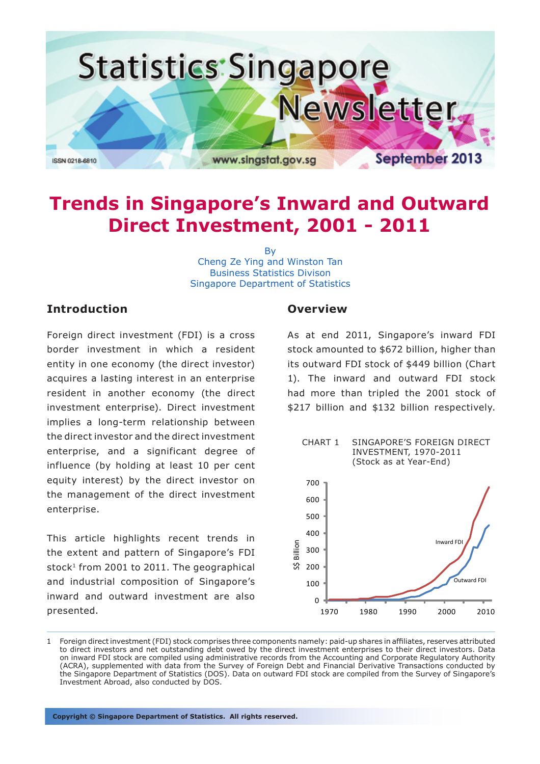

# **Trends in Singapore's Inward and Outward Direct Investment, 2001 - 2011**

By Cheng Ze Ying and Winston Tan Business Statistics Divison Singapore Department of Statistics

## **Introduction**

Foreign direct investment (FDI) is a cross border investment in which a resident entity in one economy (the direct investor) acquires a lasting interest in an enterprise resident in another economy (the direct investment enterprise). Direct investment implies a long-term relationship between the direct investor and the direct investment enterprise, and a significant degree of influence (by holding at least 10 per cent equity interest) by the direct investor on the management of the direct investment enterprise.

This article highlights recent trends in the extent and pattern of Singapore's FDI stock $1$  from 2001 to 2011. The geographical and industrial composition of Singapore's inward and outward investment are also presented.

## **Overview**

As at end 2011, Singapore's inward FDI stock amounted to \$672 billion, higher than its outward FDI stock of \$449 billion (Chart 1). The inward and outward FDI stock had more than tripled the 2001 stock of \$217 billion and \$132 billion respectively.



<sup>1</sup> Foreign direct investment (FDI) stock comprises three components namely: paid-up shares in affiliates, reserves attributed to direct investors and net outstanding debt owed by the direct investment enterprises to their direct investors. Data on inward FDI stock are compiled using administrative records from the Accounting and Corporate Regulatory Authority (ACRA), supplemented with data from the Survey of Foreign Debt and Financial Derivative Transactions conducted by the Singapore Department of Statistics (DOS). Data on outward FDI stock are compiled from the Survey of Singapore's Investment Abroad, also conducted by DOS.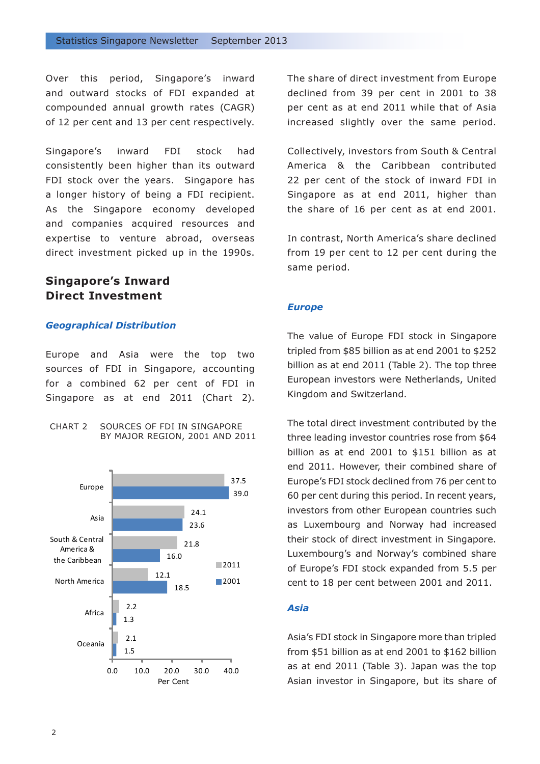Over this period, Singapore's inward and outward stocks of FDI expanded at compounded annual growth rates (CAGR) of 12 per cent and 13 per cent respectively.

Singapore's inward FDI stock had consistently been higher than its outward FDI stock over the years. Singapore has a longer history of being a FDI recipient. As the Singapore economy developed and companies acquired resources and expertise to venture abroad, overseas direct investment picked up in the 1990s.

# **Singapore's Inward Direct Investment**

#### *Geographical Distribution*

Europe and Asia were the top two sources of FDI in Singapore, accounting for a combined 62 per cent of FDI in Singapore as at end 2011 (Chart 2).





The share of direct investment from Europe declined from 39 per cent in 2001 to 38 per cent as at end 2011 while that of Asia increased slightly over the same period.

Collectively, investors from South & Central America & the Caribbean contributed 22 per cent of the stock of inward FDI in Singapore as at end 2011, higher than the share of 16 per cent as at end 2001.

In contrast, North America's share declined from 19 per cent to 12 per cent during the same period.

#### *Europe*

The value of Europe FDI stock in Singapore tripled from \$85 billion as at end 2001 to \$252 billion as at end 2011 (Table 2). The top three European investors were Netherlands, United Kingdom and Switzerland.

The total direct investment contributed by the three leading investor countries rose from \$64 billion as at end 2001 to \$151 billion as at end 2011. However, their combined share of Europe's FDI stock declined from 76 per cent to 60 per cent during this period. In recent years, investors from other European countries such as Luxembourg and Norway had increased their stock of direct investment in Singapore. Luxembourg's and Norway's combined share of Europe's FDI stock expanded from 5.5 per cent to 18 per cent between 2001 and 2011.

## *Asia*

Asia's FDI stock in Singapore more than tripled from \$51 billion as at end 2001 to \$162 billion as at end 2011 (Table 3). Japan was the top Asian investor in Singapore, but its share of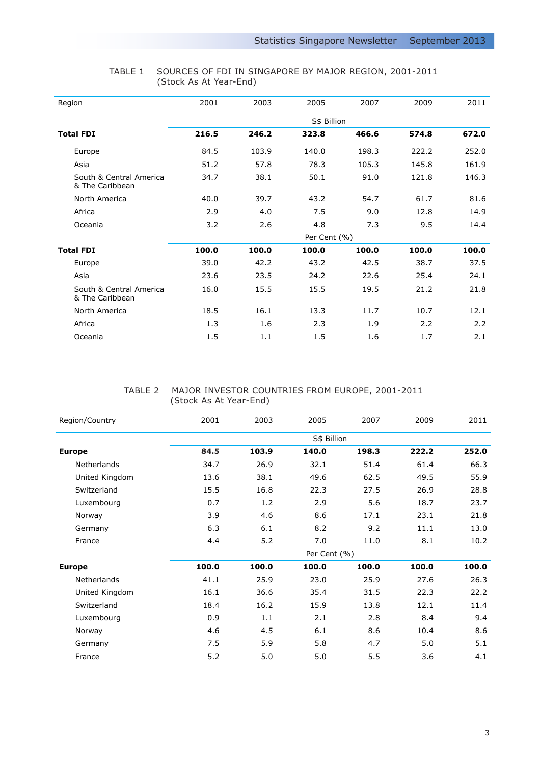| Region                                     | 2001        | 2003  | 2005         | 2007  | 2009  | 2011  |  |  |
|--------------------------------------------|-------------|-------|--------------|-------|-------|-------|--|--|
|                                            | S\$ Billion |       |              |       |       |       |  |  |
| <b>Total FDI</b>                           | 216.5       | 246.2 | 323.8        | 466.6 | 574.8 | 672.0 |  |  |
| Europe                                     | 84.5        | 103.9 | 140.0        | 198.3 | 222.2 | 252.0 |  |  |
| Asia                                       | 51.2        | 57.8  | 78.3         | 105.3 | 145.8 | 161.9 |  |  |
| South & Central America<br>& The Caribbean | 34.7        | 38.1  | 50.1         | 91.0  | 121.8 | 146.3 |  |  |
| North America                              | 40.0        | 39.7  | 43.2         | 54.7  | 61.7  | 81.6  |  |  |
| Africa                                     | 2.9         | 4.0   | 7.5          | 9.0   | 12.8  | 14.9  |  |  |
| Oceania                                    | 3.2         | 2.6   | 4.8          | 7.3   | 9.5   | 14.4  |  |  |
|                                            |             |       | Per Cent (%) |       |       |       |  |  |
| <b>Total FDI</b>                           | 100.0       | 100.0 | 100.0        | 100.0 | 100.0 | 100.0 |  |  |
| Europe                                     | 39.0        | 42.2  | 43.2         | 42.5  | 38.7  | 37.5  |  |  |
| Asia                                       | 23.6        | 23.5  | 24.2         | 22.6  | 25.4  | 24.1  |  |  |
| South & Central America<br>& The Caribbean | 16.0        | 15.5  | 15.5         | 19.5  | 21.2  | 21.8  |  |  |
| North America                              | 18.5        | 16.1  | 13.3         | 11.7  | 10.7  | 12.1  |  |  |
| Africa                                     | 1.3         | 1.6   | 2.3          | 1.9   | 2.2   | 2.2   |  |  |
| Oceania                                    | 1.5         | 1.1   | 1.5          | 1.6   | 1.7   | 2.1   |  |  |

#### TABLE 1 SOURCES OF FDI IN SINGAPORE BY MAJOR REGION, 2001-2011 (Stock As At Year-End)

#### TABLE 2 MAJOR INVESTOR COUNTRIES FROM EUROPE, 2001-2011 (Stock As At Year-End)

| Region/Country     | 2001  | 2003  | 2005         | 2007  | 2009  | 2011  |
|--------------------|-------|-------|--------------|-------|-------|-------|
|                    |       |       |              |       |       |       |
| <b>Europe</b>      | 84.5  | 103.9 | 140.0        | 198.3 | 222.2 | 252.0 |
| <b>Netherlands</b> | 34.7  | 26.9  | 32.1         | 51.4  | 61.4  | 66.3  |
| United Kingdom     | 13.6  | 38.1  | 49.6         | 62.5  | 49.5  | 55.9  |
| Switzerland        | 15.5  | 16.8  | 22.3         | 27.5  | 26.9  | 28.8  |
| Luxembourg         | 0.7   | 1.2   | 2.9          | 5.6   | 18.7  | 23.7  |
| Norway             | 3.9   | 4.6   | 8.6          | 17.1  | 23.1  | 21.8  |
| Germany            | 6.3   | 6.1   | 8.2          | 9.2   | 11.1  | 13.0  |
| France             | 4.4   | 5.2   | 7.0          | 11.0  | 8.1   | 10.2  |
|                    |       |       | Per Cent (%) |       |       |       |
| <b>Europe</b>      | 100.0 | 100.0 | 100.0        | 100.0 | 100.0 | 100.0 |
| Netherlands        | 41.1  | 25.9  | 23.0         | 25.9  | 27.6  | 26.3  |
| United Kingdom     | 16.1  | 36.6  | 35.4         | 31.5  | 22.3  | 22.2  |
| Switzerland        | 18.4  | 16.2  | 15.9         | 13.8  | 12.1  | 11.4  |
| Luxembourg         | 0.9   | 1.1   | 2.1          | 2.8   | 8.4   | 9.4   |
| Norway             | 4.6   | 4.5   | 6.1          | 8.6   | 10.4  | 8.6   |
| Germany            | 7.5   | 5.9   | 5.8          | 4.7   | 5.0   | 5.1   |
| France             | 5.2   | 5.0   | 5.0          | 5.5   | 3.6   | 4.1   |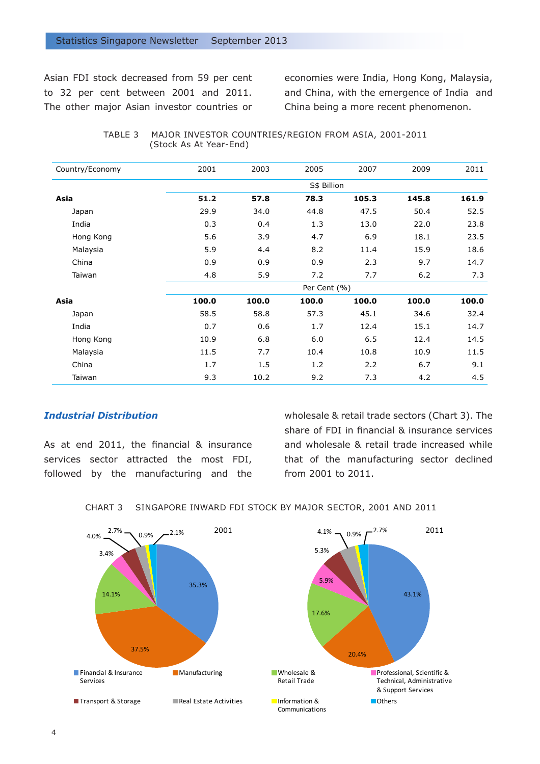Asian FDI stock decreased from 59 per cent to 32 per cent between 2001 and 2011. The other major Asian investor countries or economies were India, Hong Kong, Malaysia, and China, with the emergence of India and China being a more recent phenomenon.

| TABLE 3     MAJOR INVESTOR COUNTRIES/REGION FROM ASIA, 2001-2011 |
|------------------------------------------------------------------|
| (Stock As At Year-End)                                           |

| Country/Economy | 2001  | 2003        | 2005         | 2007  | 2009  | 2011  |  |  |
|-----------------|-------|-------------|--------------|-------|-------|-------|--|--|
|                 |       | S\$ Billion |              |       |       |       |  |  |
| Asia            | 51.2  | 57.8        | 78.3         | 105.3 | 145.8 | 161.9 |  |  |
| Japan           | 29.9  | 34.0        | 44.8         | 47.5  | 50.4  | 52.5  |  |  |
| India           | 0.3   | 0.4         | 1.3          | 13.0  | 22.0  | 23.8  |  |  |
| Hong Kong       | 5.6   | 3.9         | 4.7          | 6.9   | 18.1  | 23.5  |  |  |
| Malaysia        | 5.9   | 4.4         | 8.2          | 11.4  | 15.9  | 18.6  |  |  |
| China           | 0.9   | 0.9         | 0.9          | 2.3   | 9.7   | 14.7  |  |  |
| Taiwan          | 4.8   | 5.9         | 7.2          | 7.7   | 6.2   | 7.3   |  |  |
|                 |       |             | Per Cent (%) |       |       |       |  |  |
| Asia            | 100.0 | 100.0       | 100.0        | 100.0 | 100.0 | 100.0 |  |  |
| Japan           | 58.5  | 58.8        | 57.3         | 45.1  | 34.6  | 32.4  |  |  |
| India           | 0.7   | 0.6         | 1.7          | 12.4  | 15.1  | 14.7  |  |  |
| Hong Kong       | 10.9  | 6.8         | 6.0          | 6.5   | 12.4  | 14.5  |  |  |
| Malaysia        | 11.5  | 7.7         | 10.4         | 10.8  | 10.9  | 11.5  |  |  |
| China           | 1.7   | 1.5         | 1.2          | 2.2   | 6.7   | 9.1   |  |  |
| Taiwan          | 9.3   | 10.2        | 9.2          | 7.3   | 4.2   | 4.5   |  |  |

### *Industrial Distribution*

As at end 2011, the financial & insurance services sector attracted the most FDI, followed by the manufacturing and the wholesale & retail trade sectors (Chart 3). The share of FDI in financial & insurance services and wholesale & retail trade increased while that of the manufacturing sector declined from 2001 to 2011.

CHART 3 SINGAPORE INWARD FDI STOCK BY MAJOR SECTOR, 2001 AND 2011

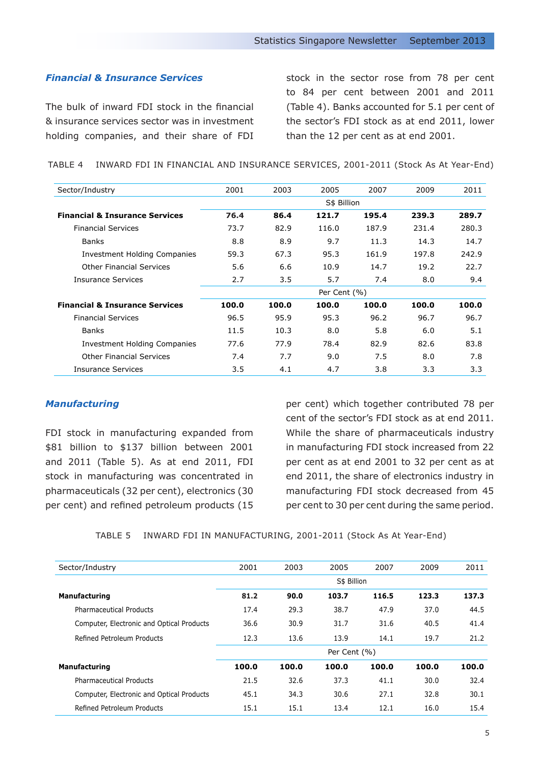## *Financial & Insurance Services*

The bulk of inward FDI stock in the financial & insurance services sector was in investment holding companies, and their share of FDI stock in the sector rose from 78 per cent to 84 per cent between 2001 and 2011 (Table 4). Banks accounted for 5.1 per cent of the sector's FDI stock as at end 2011, lower than the 12 per cent as at end 2001.

TABLE 4 INWARD FDI IN FINANCIAL AND INSURANCE SERVICES, 2001-2011 (Stock As At Year-End)

| Sector/Industry                           | 2001        | 2003  | 2005         | 2007  | 2009  | 2011  |  |  |  |  |
|-------------------------------------------|-------------|-------|--------------|-------|-------|-------|--|--|--|--|
|                                           | S\$ Billion |       |              |       |       |       |  |  |  |  |
| <b>Financial &amp; Insurance Services</b> | 76.4        | 86.4  | 121.7        | 195.4 | 239.3 | 289.7 |  |  |  |  |
| <b>Financial Services</b>                 | 73.7        | 82.9  | 116.0        | 187.9 | 231.4 | 280.3 |  |  |  |  |
| <b>Banks</b>                              | 8.8         | 8.9   | 9.7          | 11.3  | 14.3  | 14.7  |  |  |  |  |
| <b>Investment Holding Companies</b>       | 59.3        | 67.3  | 95.3         | 161.9 | 197.8 | 242.9 |  |  |  |  |
| <b>Other Financial Services</b>           | 5.6         | 6.6   | 10.9         | 14.7  | 19.2  | 22.7  |  |  |  |  |
| Insurance Services                        | 2.7         | 3.5   | 5.7          | 7.4   | 8.0   | 9.4   |  |  |  |  |
|                                           |             |       | Per Cent (%) |       |       |       |  |  |  |  |
| <b>Financial &amp; Insurance Services</b> | 100.0       | 100.0 | 100.0        | 100.0 | 100.0 | 100.0 |  |  |  |  |
| <b>Financial Services</b>                 | 96.5        | 95.9  | 95.3         | 96.2  | 96.7  | 96.7  |  |  |  |  |
| <b>Banks</b>                              | 11.5        | 10.3  | 8.0          | 5.8   | 6.0   | 5.1   |  |  |  |  |
| Investment Holding Companies              | 77.6        | 77.9  | 78.4         | 82.9  | 82.6  | 83.8  |  |  |  |  |
| <b>Other Financial Services</b>           | 7.4         | 7.7   | 9.0          | 7.5   | 8.0   | 7.8   |  |  |  |  |
| <b>Insurance Services</b>                 | 3.5         | 4.1   | 4.7          | 3.8   | 3.3   | 3.3   |  |  |  |  |

#### *Manufacturing*

FDI stock in manufacturing expanded from \$81 billion to \$137 billion between 2001 and 2011 (Table 5). As at end 2011, FDI stock in manufacturing was concentrated in pharmaceuticals (32 per cent), electronics (30 per cent) and refined petroleum products (15

per cent) which together contributed 78 per cent of the sector's FDI stock as at end 2011. While the share of pharmaceuticals industry in manufacturing FDI stock increased from 22 per cent as at end 2001 to 32 per cent as at end 2011, the share of electronics industry in manufacturing FDI stock decreased from 45 per cent to 30 per cent during the same period.

TABLE 5 INWARD FDI IN MANUFACTURING, 2001-2011 (Stock As At Year-End)

| Sector/Industry                           | 2001        | 2003  | 2005         | 2007  | 2009  | 2011  |  |
|-------------------------------------------|-------------|-------|--------------|-------|-------|-------|--|
|                                           | S\$ Billion |       |              |       |       |       |  |
| <b>Manufacturing</b>                      | 81.2        | 90.0  | 103.7        | 116.5 | 123.3 | 137.3 |  |
| <b>Pharmaceutical Products</b>            | 17.4        | 29.3  | 38.7         | 47.9  | 37.0  | 44.5  |  |
| Computer, Electronic and Optical Products | 36.6        | 30.9  | 31.7         | 31.6  | 40.5  | 41.4  |  |
| Refined Petroleum Products                | 12.3        | 13.6  | 13.9         | 14.1  | 19.7  | 21.2  |  |
|                                           |             |       | Per Cent (%) |       |       |       |  |
| Manufacturing                             | 100.0       | 100.0 | 100.0        | 100.0 | 100.0 | 100.0 |  |
| <b>Pharmaceutical Products</b>            | 21.5        | 32.6  | 37.3         | 41.1  | 30.0  | 32.4  |  |
| Computer, Electronic and Optical Products | 45.1        | 34.3  | 30.6         | 27.1  | 32.8  | 30.1  |  |
| Refined Petroleum Products                | 15.1        | 15.1  | 13.4         | 12.1  | 16.0  | 15.4  |  |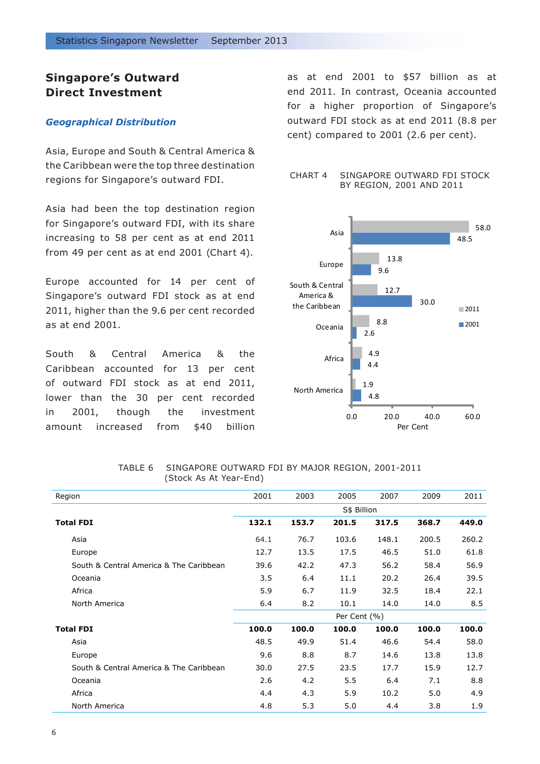# **Singapore's Outward Direct Investment**

#### *Geographical Distribution*

Asia, Europe and South & Central America & the Caribbean were the top three destination regions for Singapore's outward FDI.

Asia had been the top destination region for Singapore's outward FDI, with its share increasing to 58 per cent as at end 2011 from 49 per cent as at end 2001 (Chart 4).

Europe accounted for 14 per cent of Singapore's outward FDI stock as at end 2011, higher than the 9.6 per cent recorded as at end 2001.

South & Central America & the Caribbean accounted for 13 per cent of outward FDI stock as at end 2011, lower than the 30 per cent recorded in 2001, though the investment amount increased from \$40 billion as at end 2001 to \$57 billion as at end 2011. In contrast, Oceania accounted for a higher proportion of Singapore's outward FDI stock as at end 2011 (8.8 per cent) compared to 2001 (2.6 per cent).

#### CHART 4 SINGAPORE OUTWARD FDI STOCK BY REGION, 2001 AND 2011



| Region                                  | 2001  | 2003  | 2005         | 2007  | 2009  | 2011  |
|-----------------------------------------|-------|-------|--------------|-------|-------|-------|
|                                         |       |       | S\$ Billion  |       |       |       |
| <b>Total FDI</b>                        | 132.1 | 153.7 | 201.5        | 317.5 | 368.7 | 449.0 |
| Asia                                    | 64.1  | 76.7  | 103.6        | 148.1 | 200.5 | 260.2 |
| Europe                                  | 12.7  | 13.5  | 17.5         | 46.5  | 51.0  | 61.8  |
| South & Central America & The Caribbean | 39.6  | 42.2  | 47.3         | 56.2  | 58.4  | 56.9  |
| Oceania                                 | 3.5   | 6.4   | 11.1         | 20.2  | 26.4  | 39.5  |
| Africa                                  | 5.9   | 6.7   | 11.9         | 32.5  | 18.4  | 22.1  |
| North America                           | 6.4   | 8.2   | 10.1         | 14.0  | 14.0  | 8.5   |
|                                         |       |       | Per Cent (%) |       |       |       |
| <b>Total FDI</b>                        | 100.0 | 100.0 | 100.0        | 100.0 | 100.0 | 100.0 |
| Asia                                    | 48.5  | 49.9  | 51.4         | 46.6  | 54.4  | 58.0  |
| Europe                                  | 9.6   | 8.8   | 8.7          | 14.6  | 13.8  | 13.8  |
| South & Central America & The Caribbean | 30.0  | 27.5  | 23.5         | 17.7  | 15.9  | 12.7  |
| Oceania                                 | 2.6   | 4.2   | 5.5          | 6.4   | 7.1   | 8.8   |
| Africa                                  | 4.4   | 4.3   | 5.9          | 10.2  | 5.0   | 4.9   |
| North America                           | 4.8   | 5.3   | 5.0          | 4.4   | 3.8   | 1.9   |

TABLE 6 SINGAPORE OUTWARD FDI BY MAJOR REGION, 2001-2011 (Stock As At Year-End)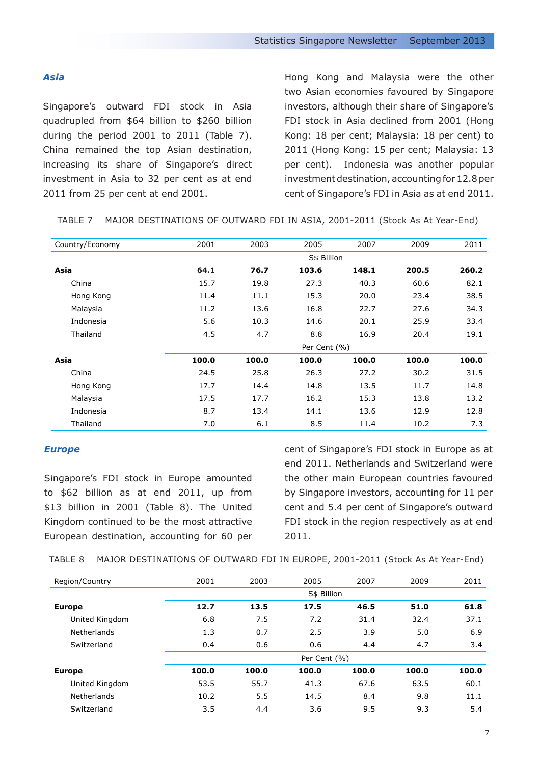#### *Asia*

Singapore's outward FDI stock in Asia quadrupled from \$64 billion to \$260 billion during the period 2001 to 2011 (Table 7). China remained the top Asian destination, increasing its share of Singapore's direct investment in Asia to 32 per cent as at end 2011 from 25 per cent at end 2001.

Hong Kong and Malaysia were the other two Asian economies favoured by Singapore investors, although their share of Singapore's FDI stock in Asia declined from 2001 (Hong Kong: 18 per cent; Malaysia: 18 per cent) to 2011 (Hong Kong: 15 per cent; Malaysia: 13 per cent). Indonesia was another popular investment destination, accounting for 12.8 per cent of Singapore's FDI in Asia as at end 2011.

|  | TABLE 7 MAJOR DESTINATIONS OF OUTWARD FDI IN ASIA, 2001-2011 (Stock As At Year-End) |  |  |  |  |  |
|--|-------------------------------------------------------------------------------------|--|--|--|--|--|
|--|-------------------------------------------------------------------------------------|--|--|--|--|--|

| Country/Economy | 2001  | 2003        | 2005         | 2007  | 2009  | 2011  |  |  |
|-----------------|-------|-------------|--------------|-------|-------|-------|--|--|
|                 |       | S\$ Billion |              |       |       |       |  |  |
| Asia            | 64.1  | 76.7        | 103.6        | 148.1 | 200.5 | 260.2 |  |  |
| China           | 15.7  | 19.8        | 27.3         | 40.3  | 60.6  | 82.1  |  |  |
| Hong Kong       | 11.4  | 11.1        | 15.3         | 20.0  | 23.4  | 38.5  |  |  |
| Malaysia        | 11.2  | 13.6        | 16.8         | 22.7  | 27.6  | 34.3  |  |  |
| Indonesia       | 5.6   | 10.3        | 14.6         | 20.1  | 25.9  | 33.4  |  |  |
| Thailand        | 4.5   | 4.7         | 8.8          | 16.9  | 20.4  | 19.1  |  |  |
|                 |       |             | Per Cent (%) |       |       |       |  |  |
| Asia            | 100.0 | 100.0       | 100.0        | 100.0 | 100.0 | 100.0 |  |  |
| China           | 24.5  | 25.8        | 26.3         | 27.2  | 30.2  | 31.5  |  |  |
| Hong Kong       | 17.7  | 14.4        | 14.8         | 13.5  | 11.7  | 14.8  |  |  |
| Malaysia        | 17.5  | 17.7        | 16.2         | 15.3  | 13.8  | 13.2  |  |  |
| Indonesia       | 8.7   | 13.4        | 14.1         | 13.6  | 12.9  | 12.8  |  |  |
| Thailand        | 7.0   | 6.1         | 8.5          | 11.4  | 10.2  | 7.3   |  |  |
|                 |       |             |              |       |       |       |  |  |

#### *Europe*

Singapore's FDI stock in Europe amounted to \$62 billion as at end 2011, up from \$13 billion in 2001 (Table 8). The United Kingdom continued to be the most attractive European destination, accounting for 60 per

cent of Singapore's FDI stock in Europe as at end 2011. Netherlands and Switzerland were the other main European countries favoured by Singapore investors, accounting for 11 per cent and 5.4 per cent of Singapore's outward FDI stock in the region respectively as at end 2011.

TABLE 8 MAJOR DESTINATIONS OF OUTWARD FDI IN EUROPE, 2001-2011 (Stock As At Year-End)

| Region/Country | 2001  | 2003  | 2005         | 2007  | 2009  | 2011  |
|----------------|-------|-------|--------------|-------|-------|-------|
|                |       |       | S\$ Billion  |       |       |       |
| <b>Europe</b>  | 12.7  | 13.5  | 17.5         | 46.5  | 51.0  | 61.8  |
| United Kingdom | 6.8   | 7.5   | 7.2          | 31.4  | 32.4  | 37.1  |
| Netherlands    | 1.3   | 0.7   | 2.5          | 3.9   | 5.0   | 6.9   |
| Switzerland    | 0.4   | 0.6   | 0.6          | 4.4   | 4.7   | 3.4   |
|                |       |       | Per Cent (%) |       |       |       |
| <b>Europe</b>  | 100.0 | 100.0 | 100.0        | 100.0 | 100.0 | 100.0 |
| United Kingdom | 53.5  | 55.7  | 41.3         | 67.6  | 63.5  | 60.1  |
| Netherlands    | 10.2  | 5.5   | 14.5         | 8.4   | 9.8   | 11.1  |
| Switzerland    | 3.5   | 4.4   | 3.6          | 9.5   | 9.3   | 5.4   |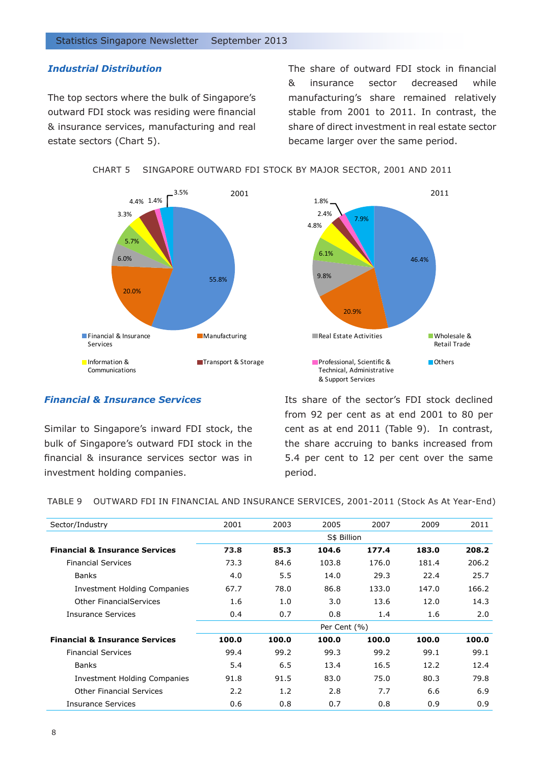## *Industrial Distribution*

The top sectors where the bulk of Singapore's outward FDI stock was residing were financial & insurance services, manufacturing and real estate sectors (Chart 5).

The share of outward FDI stock in financial & insurance sector decreased while manufacturing's share remained relatively stable from 2001 to 2011. In contrast, the share of direct investment in real estate sector became larger over the same period.

CHART 5 SINGAPORE OUTWARD FDI STOCK BY MAJOR SECTOR, 2001 AND 2011





## *Financial & Insurance Services*

Similar to Singapore's inward FDI stock, the bulk of Singapore's outward FDI stock in the financial & insurance services sector was in investment holding companies.

Its share of the sector's FDI stock declined from 92 per cent as at end 2001 to 80 per cent as at end 2011 (Table 9). In contrast, the share accruing to banks increased from 5.4 per cent to 12 per cent over the same period.

TABLE 9 OUTWARD FDI IN FINANCIAL AND INSURANCE SERVICES, 2001-2011 (Stock As At Year-End)

| 2001  | 2003  | 2005  | 2007  | 2009                        | 2011  |
|-------|-------|-------|-------|-----------------------------|-------|
|       |       |       |       |                             |       |
| 73.8  | 85.3  | 104.6 | 177.4 | 183.0                       | 208.2 |
| 73.3  | 84.6  | 103.8 | 176.0 | 181.4                       | 206.2 |
| 4.0   | 5.5   | 14.0  | 29.3  | 22.4                        | 25.7  |
| 67.7  | 78.0  | 86.8  | 133.0 | 147.0                       | 166.2 |
| 1.6   | 1.0   | 3.0   | 13.6  | 12.0                        | 14.3  |
| 0.4   | 0.7   | 0.8   | 1.4   | 1.6                         | 2.0   |
|       |       |       |       |                             |       |
| 100.0 | 100.0 | 100.0 | 100.0 | 100.0                       | 100.0 |
| 99.4  | 99.2  | 99.3  | 99.2  | 99.1                        | 99.1  |
| 5.4   | 6.5   | 13.4  | 16.5  | 12.2                        | 12.4  |
| 91.8  | 91.5  | 83.0  | 75.0  | 80.3                        | 79.8  |
| 2.2   | 1.2   | 2.8   | 7.7   | 6.6                         | 6.9   |
| 0.6   | 0.8   | 0.7   | 0.8   | 0.9                         | 0.9   |
|       |       |       |       | S\$ Billion<br>Per Cent (%) |       |